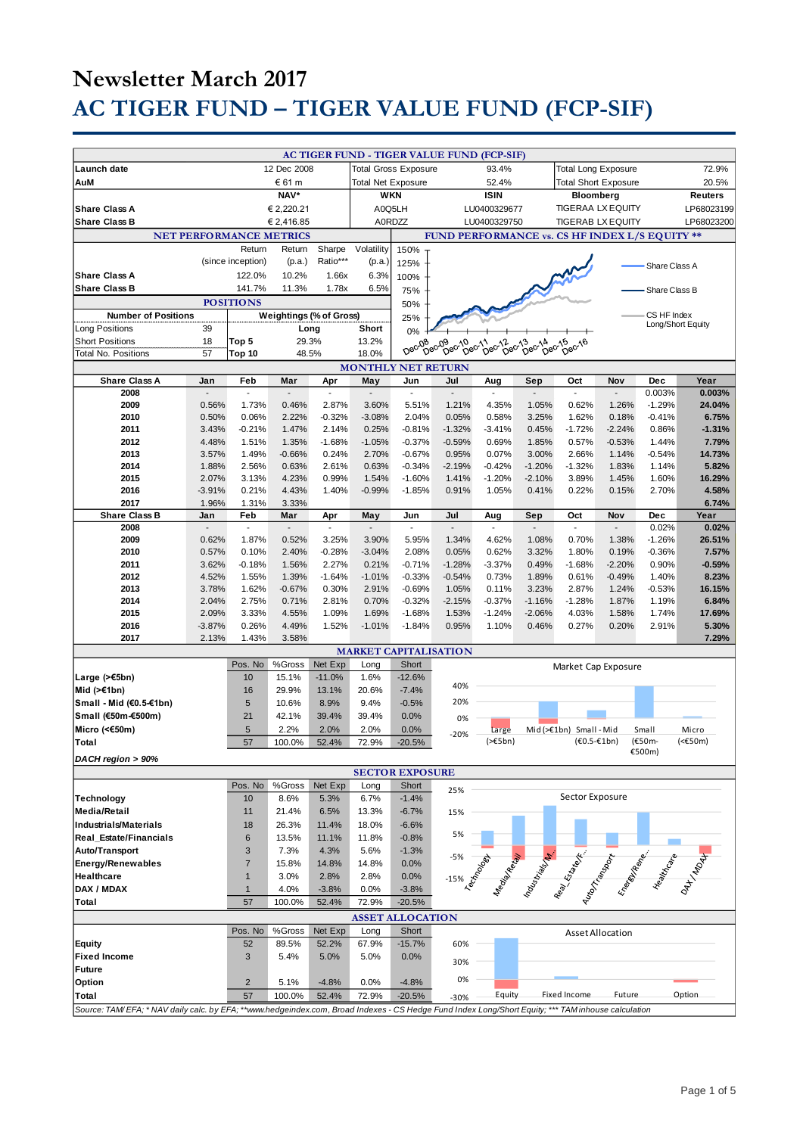# **Newsletter March 2017 AC TIGER FUND – TIGER VALUE FUND (FCP-SIF)**

| Launch date                                                                                                                                         | 12 Dec 2008    |                   |                                |                           | <b>AC TIGER FUND - TIGER VALUE FUND (FCP-SIF)</b><br><b>Total Gross Exposure</b><br>93.4% |                        |                                                |                                                      | <b>Total Long Exposure</b><br>72.9% |                                                                                                                                                                                                                                |                         |                   |                  |
|-----------------------------------------------------------------------------------------------------------------------------------------------------|----------------|-------------------|--------------------------------|---------------------------|-------------------------------------------------------------------------------------------|------------------------|------------------------------------------------|------------------------------------------------------|-------------------------------------|--------------------------------------------------------------------------------------------------------------------------------------------------------------------------------------------------------------------------------|-------------------------|-------------------|------------------|
|                                                                                                                                                     |                |                   |                                |                           |                                                                                           |                        |                                                |                                                      | <b>Total Short Exposure</b>         |                                                                                                                                                                                                                                |                         |                   |                  |
| € 61 m<br>AuM                                                                                                                                       |                |                   |                                | <b>Total Net Exposure</b> |                                                                                           |                        | 52.4%                                          |                                                      |                                     |                                                                                                                                                                                                                                |                         | 20.5%             |                  |
| NAV*                                                                                                                                                |                |                   | <b>WKN</b>                     |                           |                                                                                           | <b>ISIN</b>            |                                                | Bloomberg                                            |                                     |                                                                                                                                                                                                                                | Reuters                 |                   |                  |
| <b>Share Class A</b>                                                                                                                                | € 2,220.21     |                   |                                |                           |                                                                                           | A0Q5LH<br>LU0400329677 |                                                |                                                      |                                     | <b>TIGERAA LX EQUITY</b>                                                                                                                                                                                                       |                         |                   | LP68023199       |
| <b>Share Class B</b>                                                                                                                                |                |                   | € 2,416.85                     |                           | A0RDZZ                                                                                    |                        |                                                | LU0400329750                                         |                                     | <b>TIGERAB LX EQUITY</b>                                                                                                                                                                                                       |                         |                   | LP68023200       |
|                                                                                                                                                     |                |                   | <b>NET PERFORMANCE METRICS</b> |                           |                                                                                           |                        | FUND PERFORMANCE vs. CS HF INDEX L/S EQUITY ** |                                                      |                                     |                                                                                                                                                                                                                                |                         |                   |                  |
|                                                                                                                                                     |                | Return            | Return                         | Sharpe                    | Volatility                                                                                | 150%                   |                                                |                                                      |                                     |                                                                                                                                                                                                                                |                         |                   |                  |
|                                                                                                                                                     |                | (since inception) | (p.a.)                         | Ratio***                  | (p.a.)                                                                                    | 125%                   |                                                |                                                      |                                     |                                                                                                                                                                                                                                |                         | Share Class A     |                  |
| <b>Share Class A</b>                                                                                                                                |                | 122.0%            | 10.2%                          | 1.66x                     | 6.3%                                                                                      | 100%                   |                                                |                                                      |                                     |                                                                                                                                                                                                                                |                         |                   |                  |
| <b>Share Class B</b>                                                                                                                                |                | 141.7%            | 11.3%                          | 1.78x                     | 6.5%                                                                                      | 75%                    |                                                |                                                      |                                     |                                                                                                                                                                                                                                |                         | Share Class B     |                  |
|                                                                                                                                                     |                | <b>POSITIONS</b>  |                                |                           |                                                                                           | 50%                    |                                                |                                                      |                                     |                                                                                                                                                                                                                                |                         |                   |                  |
| <b>Number of Positions</b>                                                                                                                          |                |                   | Weightings (% of Gross)        |                           |                                                                                           | 25%                    |                                                |                                                      |                                     |                                                                                                                                                                                                                                |                         | CS HF Index       |                  |
| Long Positions                                                                                                                                      | 39             |                   | Long                           |                           | Short                                                                                     |                        |                                                |                                                      |                                     |                                                                                                                                                                                                                                |                         | Long/Short Equity |                  |
| <b>Short Positions</b>                                                                                                                              | 18             | Top 5             | 29.3%                          |                           | 13.2%                                                                                     | 0%                     |                                                |                                                      |                                     |                                                                                                                                                                                                                                |                         |                   |                  |
| <b>Total No. Positions</b>                                                                                                                          | 57             | Top 10            | 48.5%                          |                           | 18.0%                                                                                     | Dec-08                 | Dec-09<br>O <sup>8</sup>                       | 10 <sub>ec-11</sub><br>Dec-12ec-12e<br>$5e^{c^{13}}$ | Dec-14                              | DeC <sub>15</sub><br>$b^{\text{e}c^{\text{16}}}$                                                                                                                                                                               |                         |                   |                  |
|                                                                                                                                                     |                |                   |                                |                           |                                                                                           |                        |                                                |                                                      |                                     |                                                                                                                                                                                                                                |                         |                   |                  |
|                                                                                                                                                     |                |                   |                                |                           | <b>MONTHLY NET RETURN</b>                                                                 |                        |                                                |                                                      |                                     |                                                                                                                                                                                                                                |                         |                   | Year             |
| <b>Share Class A</b><br>2008                                                                                                                        | Jan            | Feb               | Mar                            | Apr                       | May<br>$\overline{a}$                                                                     | Jun<br>ä,              | Jul<br>$\overline{a}$                          | Aug                                                  | Sep                                 | Oct<br>$\mathbf{r}$                                                                                                                                                                                                            | Nov                     | Dec<br>0.003%     | 0.003%           |
|                                                                                                                                                     |                |                   |                                |                           |                                                                                           |                        |                                                |                                                      |                                     |                                                                                                                                                                                                                                |                         |                   |                  |
| 2009                                                                                                                                                | 0.56%          | 1.73%             | 0.46%                          | 2.87%<br>$-0.32%$         | 3.60%                                                                                     | 5.51%                  | 1.21%                                          | 4.35%                                                | 1.05%<br>3.25%                      | 0.62%                                                                                                                                                                                                                          | 1.26%                   | $-1.29%$          | 24.04%           |
| 2010<br>2011                                                                                                                                        | 0.50%          | 0.06%             | 2.22%                          | 2.14%                     | $-3.08%$<br>0.25%                                                                         | 2.04%                  | 0.05%                                          | 0.58%<br>$-3.41%$                                    |                                     | 1.62%                                                                                                                                                                                                                          | 0.18%<br>$-2.24%$       | $-0.41%$<br>0.86% | 6.75%            |
|                                                                                                                                                     | 3.43%          | $-0.21%$          | 1.47%                          |                           |                                                                                           | $-0.81%$               | $-1.32%$                                       |                                                      | 0.45%                               | $-1.72%$                                                                                                                                                                                                                       |                         |                   | $-1.31%$         |
| 2012                                                                                                                                                | 4.48%          | 1.51%             | 1.35%                          | $-1.68%$                  | $-1.05%$                                                                                  | $-0.37%$               | $-0.59%$                                       | 0.69%                                                | 1.85%                               | 0.57%                                                                                                                                                                                                                          | $-0.53%$                | 1.44%             | 7.79%            |
| 2013<br>2014                                                                                                                                        | 3.57%          | 1.49%             | $-0.66%$                       | 0.24%                     | 2.70%                                                                                     | $-0.67%$               | 0.95%                                          | 0.07%                                                | 3.00%                               | 2.66%                                                                                                                                                                                                                          | 1.14%                   | $-0.54%$          | 14.73%           |
| 2015                                                                                                                                                | 1.88%<br>2.07% | 2.56%<br>3.13%    | 0.63%<br>4.23%                 | 2.61%<br>0.99%            | 0.63%<br>1.54%                                                                            | $-0.34%$               | $-2.19%$<br>1.41%                              | $-0.42%$<br>$-1.20%$                                 | $-1.20%$                            | $-1.32%$<br>3.89%                                                                                                                                                                                                              | 1.83%<br>1.45%          | 1.14%<br>1.60%    | 5.82%<br>16.29%  |
|                                                                                                                                                     | $-3.91%$       |                   |                                |                           | $-0.99%$                                                                                  | $-1.60%$<br>$-1.85%$   |                                                | 1.05%                                                | $-2.10%$                            |                                                                                                                                                                                                                                |                         |                   | 4.58%            |
| 2016<br>2017                                                                                                                                        | 1.96%          | 0.21%             | 4.43%<br>3.33%                 | 1.40%                     |                                                                                           |                        | 0.91%                                          |                                                      | 0.41%                               | 0.22%                                                                                                                                                                                                                          | 0.15%                   | 2.70%             |                  |
| <b>Share Class B</b>                                                                                                                                | Jan            | 1.31%<br>Feb      | Mar                            | Apr                       | May                                                                                       | Jun                    | Jul                                            | Aug                                                  | Sep                                 | Oct                                                                                                                                                                                                                            | Nov                     | Dec               | 6.74%<br>Year    |
| 2008                                                                                                                                                | $\blacksquare$ | $\overline{a}$    | $\blacksquare$                 |                           | $\blacksquare$                                                                            | $\overline{a}$         | $\blacksquare$                                 | ÷,                                                   |                                     | $\overline{\phantom{a}}$                                                                                                                                                                                                       | $\blacksquare$          | 0.02%             | 0.02%            |
| 2009                                                                                                                                                | 0.62%          | 1.87%             | 0.52%                          | 3.25%                     | 3.90%                                                                                     | 5.95%                  | 1.34%                                          | 4.62%                                                | 1.08%                               | 0.70%                                                                                                                                                                                                                          | 1.38%                   | $-1.26%$          | 26.51%           |
| 2010                                                                                                                                                | 0.57%          | 0.10%             | 2.40%                          | $-0.28%$                  | $-3.04%$                                                                                  | 2.08%                  | 0.05%                                          | 0.62%                                                | 3.32%                               | 1.80%                                                                                                                                                                                                                          | 0.19%                   | $-0.36%$          | 7.57%            |
| 2011                                                                                                                                                | 3.62%          | $-0.18%$          | 1.56%                          | 2.27%                     | 0.21%                                                                                     | $-0.71%$               | $-1.28%$                                       | $-3.37%$                                             | 0.49%                               | $-1.68%$                                                                                                                                                                                                                       | $-2.20%$                | 0.90%             | $-0.59%$         |
| 2012                                                                                                                                                | 4.52%          | 1.55%             | 1.39%                          | $-1.64%$                  | $-1.01%$                                                                                  | $-0.33%$               | $-0.54%$                                       | 0.73%                                                | 1.89%                               | 0.61%                                                                                                                                                                                                                          | $-0.49%$                | 1.40%             | 8.23%            |
| 2013                                                                                                                                                | 3.78%          | 1.62%             | $-0.67%$                       | 0.30%                     | 2.91%                                                                                     | $-0.69%$               | 1.05%                                          | 0.11%                                                | 3.23%                               | 2.87%                                                                                                                                                                                                                          | 1.24%                   | $-0.53%$          | 16.15%           |
| 2014                                                                                                                                                | 2.04%          | 2.75%             | 0.71%                          | 2.81%                     | 0.70%                                                                                     | $-0.32%$               | $-2.15%$                                       | $-0.37%$                                             | $-1.16%$                            | $-1.28%$                                                                                                                                                                                                                       | 1.87%                   | 1.19%             | 6.84%            |
| 2015                                                                                                                                                | 2.09%          | 3.33%             | 4.55%                          | 1.09%                     | 1.69%                                                                                     | $-1.68%$               | 1.53%                                          | $-1.24%$                                             | $-2.06%$                            | 4.03%                                                                                                                                                                                                                          | 1.58%                   | 1.74%             | 17.69%           |
| 2016                                                                                                                                                | $-3.87%$       | 0.26%             | 4.49%                          | 1.52%                     | $-1.01%$                                                                                  | $-1.84%$               | 0.95%                                          | 1.10%                                                | 0.46%                               | 0.27%                                                                                                                                                                                                                          | 0.20%                   | 2.91%             | 5.30%            |
| 2017                                                                                                                                                | 2.13%          | 1.43%             | 3.58%                          |                           |                                                                                           |                        |                                                |                                                      |                                     |                                                                                                                                                                                                                                |                         |                   | 7.29%            |
|                                                                                                                                                     |                |                   |                                |                           |                                                                                           |                        | <b>MARKET CAPITALISATION</b>                   |                                                      |                                     |                                                                                                                                                                                                                                |                         |                   |                  |
|                                                                                                                                                     |                | Pos. No           | %Gross                         | Net Exp                   | Long                                                                                      | Short                  |                                                |                                                      |                                     |                                                                                                                                                                                                                                |                         |                   |                  |
| Large $($ > €5bn)                                                                                                                                   |                | 10                | 15.1%                          | $-11.0%$                  | 1.6%                                                                                      | $-12.6%$               |                                                |                                                      |                                     | Market Cap Exposure                                                                                                                                                                                                            |                         |                   |                  |
| Mid (>€1bn)                                                                                                                                         |                | 16                | 29.9%                          | 13.1%                     | 20.6%                                                                                     | $-7.4%$                | 40%                                            |                                                      |                                     |                                                                                                                                                                                                                                |                         |                   |                  |
| Small - Mid (€0.5-€1bn)                                                                                                                             |                | $\sqrt{5}$        | 10.6%                          | 8.9%                      | 9.4%                                                                                      | $-0.5%$                | 20%                                            |                                                      |                                     |                                                                                                                                                                                                                                |                         |                   |                  |
| Small (€50m-€500m)                                                                                                                                  |                | 21                | 42.1%                          | 39.4%                     | 39.4%                                                                                     | 0.0%                   |                                                |                                                      |                                     |                                                                                                                                                                                                                                |                         |                   |                  |
|                                                                                                                                                     |                | 5                 | 2.2%                           | 2.0%                      | 2.0%                                                                                      |                        | 0%                                             |                                                      |                                     |                                                                                                                                                                                                                                |                         |                   |                  |
| Micro (<€50m)                                                                                                                                       |                |                   |                                |                           |                                                                                           | 0.0%                   | $-20%$                                         | Large<br>$(>=5bn)$                                   |                                     | Mid (>€1bn) Small - Mid<br>$(60.5 - 61bn)$                                                                                                                                                                                     |                         | Small<br>(€50m-   | Micro<br>(<€50m) |
| Total                                                                                                                                               |                | 57                | 100.0%                         | 52.4%                     | 72.9%                                                                                     | $-20.5%$               |                                                |                                                      |                                     |                                                                                                                                                                                                                                |                         | €500m)            |                  |
| DACH region > 90%                                                                                                                                   |                |                   |                                |                           |                                                                                           |                        |                                                |                                                      |                                     |                                                                                                                                                                                                                                |                         |                   |                  |
|                                                                                                                                                     |                |                   |                                |                           |                                                                                           | <b>SECTOR EXPOSURE</b> |                                                |                                                      |                                     |                                                                                                                                                                                                                                |                         |                   |                  |
|                                                                                                                                                     |                | Pos. No           | %Gross                         | Net Exp                   | Long                                                                                      | Short                  | 25%                                            |                                                      |                                     |                                                                                                                                                                                                                                |                         |                   |                  |
| Technology                                                                                                                                          |                | 10                | 8.6%                           | 5.3%                      | 6.7%                                                                                      | $-1.4%$                |                                                |                                                      |                                     | Sector Exposure                                                                                                                                                                                                                |                         |                   |                  |
| <b>Media/Retail</b>                                                                                                                                 |                | 11                | 21.4%                          | 6.5%                      | 13.3%                                                                                     | $-6.7%$                | 15%                                            |                                                      |                                     |                                                                                                                                                                                                                                |                         |                   |                  |
| <b>Industrials/Materials</b>                                                                                                                        |                | 18                | 26.3%                          | 11.4%                     | 18.0%                                                                                     | $-6.6%$                |                                                |                                                      |                                     |                                                                                                                                                                                                                                |                         |                   |                  |
| <b>Real Estate/Financials</b>                                                                                                                       |                | 6                 | 13.5%                          | 11.1%                     | 11.8%                                                                                     | $-0.8%$                | 5%                                             |                                                      |                                     |                                                                                                                                                                                                                                |                         |                   |                  |
| Auto/Transport                                                                                                                                      |                | 3                 | 7.3%                           | 4.3%                      | 5.6%                                                                                      | $-1.3%$                |                                                |                                                      |                                     |                                                                                                                                                                                                                                |                         |                   |                  |
| <b>Energy/Renewables</b>                                                                                                                            |                | $\overline{7}$    | 15.8%                          | 14.8%                     | 14.8%                                                                                     | 0.0%                   |                                                |                                                      |                                     |                                                                                                                                                                                                                                |                         |                   |                  |
| Healthcare                                                                                                                                          |                | $\mathbf{1}$      | 3.0%                           | 2.8%                      | 2.8%                                                                                      | 0.0%                   |                                                |                                                      |                                     |                                                                                                                                                                                                                                |                         |                   |                  |
| DAX / MDAX                                                                                                                                          |                | $\mathbf{1}$      | 4.0%                           | $-3.8%$                   | 0.0%                                                                                      | $-3.8%$                |                                                |                                                      |                                     | -5% as the contract of the contract of the contract of the contract of the contract of the contract of the contract of the contract of the contract of the contract of the contract of the contract of the contract of the con |                         |                   |                  |
| Total                                                                                                                                               |                | 57                | 100.0%                         | 52.4%                     | 72.9%                                                                                     | $-20.5%$               |                                                |                                                      |                                     |                                                                                                                                                                                                                                |                         |                   |                  |
|                                                                                                                                                     |                |                   |                                |                           |                                                                                           |                        |                                                |                                                      |                                     |                                                                                                                                                                                                                                |                         |                   |                  |
|                                                                                                                                                     |                |                   |                                |                           | <b>ASSET ALLOCATION</b>                                                                   |                        |                                                |                                                      |                                     |                                                                                                                                                                                                                                |                         |                   |                  |
|                                                                                                                                                     |                | Pos. No           | %Gross                         | Net Exp                   | Long                                                                                      | Short                  |                                                |                                                      |                                     |                                                                                                                                                                                                                                | <b>Asset Allocation</b> |                   |                  |
| <b>Equity</b>                                                                                                                                       |                | 52                | 89.5%                          | 52.2%                     | 67.9%                                                                                     | $-15.7%$               | 60%                                            |                                                      |                                     |                                                                                                                                                                                                                                |                         |                   |                  |
| <b>Fixed Income</b>                                                                                                                                 |                | 3                 | 5.4%                           | 5.0%                      | 5.0%                                                                                      | 0.0%                   | 30%                                            |                                                      |                                     |                                                                                                                                                                                                                                |                         |                   |                  |
| <b>Future</b>                                                                                                                                       |                |                   |                                |                           |                                                                                           |                        | 0%                                             |                                                      |                                     |                                                                                                                                                                                                                                |                         |                   |                  |
| Option                                                                                                                                              |                | $\overline{2}$    | 5.1%                           | $-4.8%$                   | 0.0%                                                                                      | $-4.8%$                |                                                |                                                      |                                     |                                                                                                                                                                                                                                |                         |                   |                  |
| Total                                                                                                                                               |                | 57                | 100.0%                         | 52.4%                     | 72.9%                                                                                     | $-20.5%$               | $-30%$                                         | Equity                                               |                                     | Fixed Income                                                                                                                                                                                                                   | Future                  |                   | Option           |
| Source: TAM/EFA; * NAV daily calc. by EFA; **www.hedgeindex.com, Broad Indexes - CS Hedge Fund Index Long/Short Equity; *** TAM inhouse calculation |                |                   |                                |                           |                                                                                           |                        |                                                |                                                      |                                     |                                                                                                                                                                                                                                |                         |                   |                  |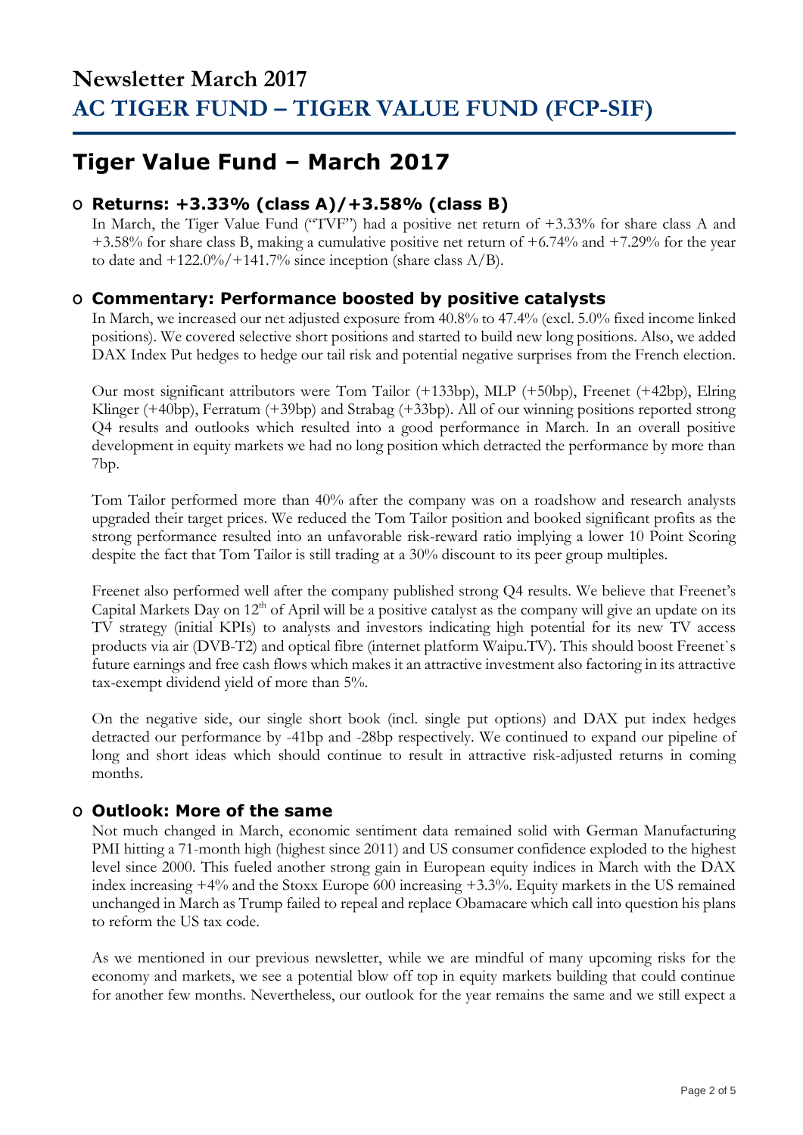## **Tiger Value Fund – March 2017**

### **O Returns: +3.33% (class A)/+3.58% (class B)**

In March, the Tiger Value Fund ("TVF") had a positive net return of +3.33% for share class A and +3.58% for share class B, making a cumulative positive net return of +6.74% and +7.29% for the year to date and  $+122.0\%/+141.7\%$  since inception (share class A/B).

### **O Commentary: Performance boosted by positive catalysts**

In March, we increased our net adjusted exposure from 40.8% to 47.4% (excl. 5.0% fixed income linked positions). We covered selective short positions and started to build new long positions. Also, we added DAX Index Put hedges to hedge our tail risk and potential negative surprises from the French election.

Our most significant attributors were Tom Tailor (+133bp), MLP (+50bp), Freenet (+42bp), Elring Klinger (+40bp), Ferratum (+39bp) and Strabag (+33bp). All of our winning positions reported strong Q4 results and outlooks which resulted into a good performance in March. In an overall positive development in equity markets we had no long position which detracted the performance by more than 7bp.

Tom Tailor performed more than 40% after the company was on a roadshow and research analysts upgraded their target prices. We reduced the Tom Tailor position and booked significant profits as the strong performance resulted into an unfavorable risk-reward ratio implying a lower 10 Point Scoring despite the fact that Tom Tailor is still trading at a 30% discount to its peer group multiples.

Freenet also performed well after the company published strong Q4 results. We believe that Freenet's Capital Markets Day on 12<sup>th</sup> of April will be a positive catalyst as the company will give an update on its TV strategy (initial KPIs) to analysts and investors indicating high potential for its new TV access products via air (DVB-T2) and optical fibre (internet platform Waipu.TV). This should boost Freenet`s future earnings and free cash flows which makes it an attractive investment also factoring in its attractive tax-exempt dividend yield of more than 5%.

On the negative side, our single short book (incl. single put options) and DAX put index hedges detracted our performance by -41bp and -28bp respectively. We continued to expand our pipeline of long and short ideas which should continue to result in attractive risk-adjusted returns in coming months.

### **O Outlook: More of the same**

Not much changed in March, economic sentiment data remained solid with German Manufacturing PMI hitting a 71-month high (highest since 2011) and US consumer confidence exploded to the highest level since 2000. This fueled another strong gain in European equity indices in March with the DAX index increasing +4% and the Stoxx Europe 600 increasing +3.3%. Equity markets in the US remained unchanged in March as Trump failed to repeal and replace Obamacare which call into question his plans to reform the US tax code.

As we mentioned in our previous newsletter, while we are mindful of many upcoming risks for the economy and markets, we see a potential blow off top in equity markets building that could continue for another few months. Nevertheless, our outlook for the year remains the same and we still expect a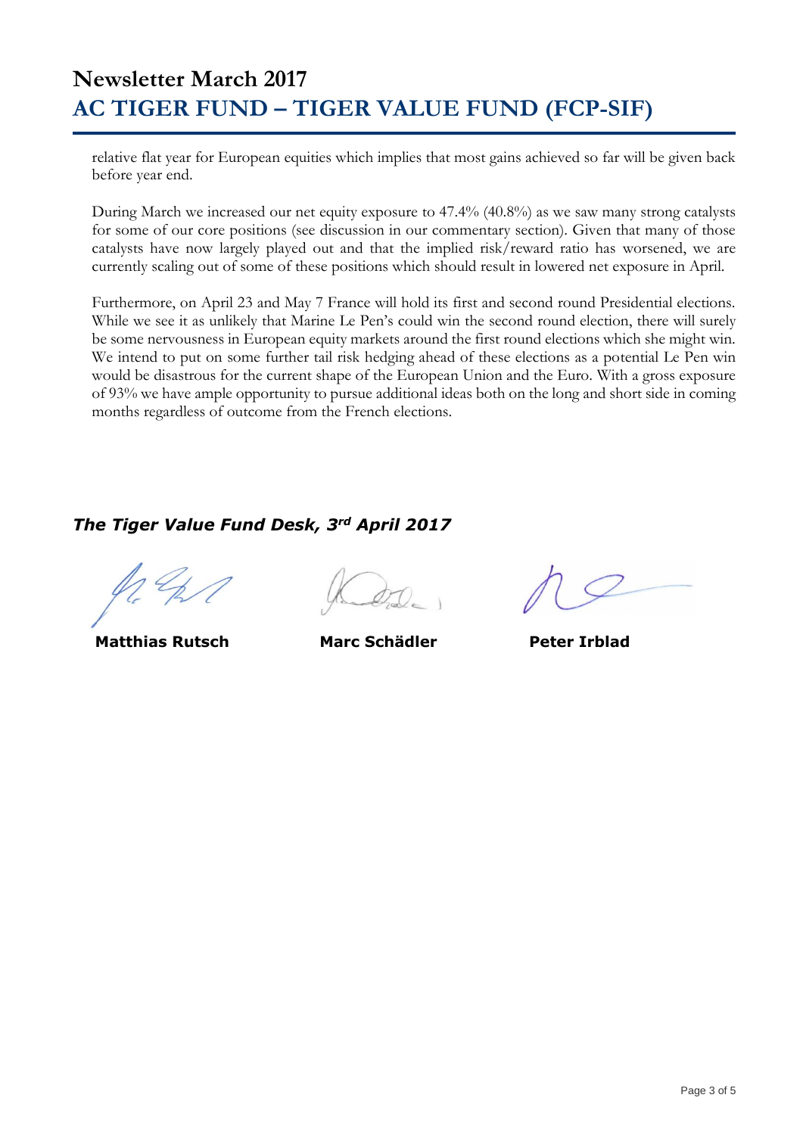## **Newsletter March 2017 AC TIGER FUND – TIGER VALUE FUND (FCP-SIF)**

relative flat year for European equities which implies that most gains achieved so far will be given back before year end.

During March we increased our net equity exposure to 47.4% (40.8%) as we saw many strong catalysts for some of our core positions (see discussion in our commentary section). Given that many of those catalysts have now largely played out and that the implied risk/reward ratio has worsened, we are currently scaling out of some of these positions which should result in lowered net exposure in April.

Furthermore, on April 23 and May 7 France will hold its first and second round Presidential elections. While we see it as unlikely that Marine Le Pen's could win the second round election, there will surely be some nervousness in European equity markets around the first round elections which she might win. We intend to put on some further tail risk hedging ahead of these elections as a potential Le Pen win would be disastrous for the current shape of the European Union and the Euro. With a gross exposure of 93% we have ample opportunity to pursue additional ideas both on the long and short side in coming months regardless of outcome from the French elections.

### *The Tiger Value Fund Desk, 3rd April 2017*

**Matthias Rutsch Marc Schädler Peter Irblad**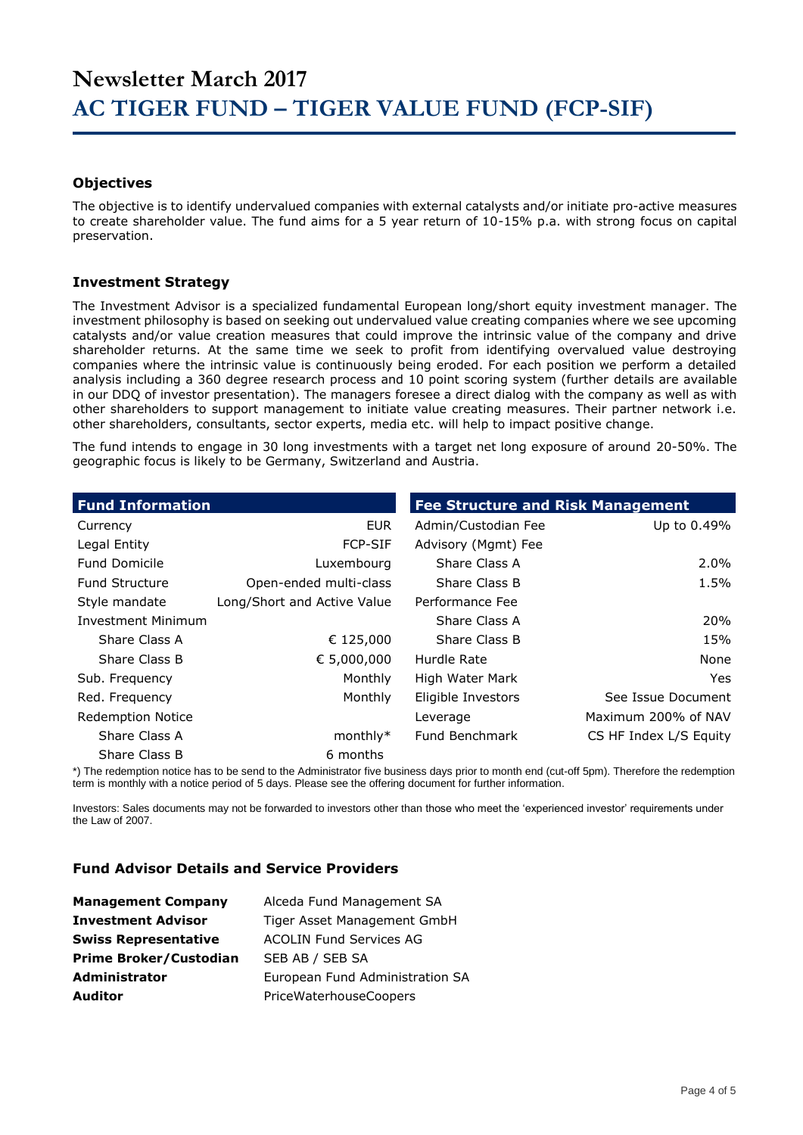#### **Objectives**

The objective is to identify undervalued companies with external catalysts and/or initiate pro-active measures to create shareholder value. The fund aims for a 5 year return of 10-15% p.a. with strong focus on capital preservation.

#### **Investment Strategy**

The Investment Advisor is a specialized fundamental European long/short equity investment manager. The investment philosophy is based on seeking out undervalued value creating companies where we see upcoming catalysts and/or value creation measures that could improve the intrinsic value of the company and drive shareholder returns. At the same time we seek to profit from identifying overvalued value destroying companies where the intrinsic value is continuously being eroded. For each position we perform a detailed analysis including a 360 degree research process and 10 point scoring system (further details are available in our DDQ of investor presentation). The managers foresee a direct dialog with the company as well as with other shareholders to support management to initiate value creating measures. Their partner network i.e. other shareholders, consultants, sector experts, media etc. will help to impact positive change.

The fund intends to engage in 30 long investments with a target net long exposure of around 20-50%. The geographic focus is likely to be Germany, Switzerland and Austria.

| <b>Fund Information</b>   |                             | <b>Fee Structure and Risk Management</b> |                        |
|---------------------------|-----------------------------|------------------------------------------|------------------------|
| Currency                  | <b>EUR</b>                  | Admin/Custodian Fee                      | Up to 0.49%            |
| Legal Entity              | <b>FCP-SIF</b>              | Advisory (Mgmt) Fee                      |                        |
| <b>Fund Domicile</b>      | Luxembourg                  | Share Class A                            | $2.0\%$                |
| <b>Fund Structure</b>     | Open-ended multi-class      | Share Class B                            | 1.5%                   |
| Style mandate             | Long/Short and Active Value | Performance Fee                          |                        |
| <b>Investment Minimum</b> |                             | Share Class A                            | <b>20%</b>             |
| Share Class A             | € 125,000                   | Share Class B                            | 15%                    |
| Share Class B             | € 5,000,000                 | Hurdle Rate                              | None                   |
| Sub. Frequency            | Monthly                     | High Water Mark                          | Yes.                   |
| Red. Frequency            | Monthly                     | Eligible Investors                       | See Issue Document     |
| <b>Redemption Notice</b>  |                             | Leverage                                 | Maximum 200% of NAV    |
| Share Class A             | $monthly*$                  | Fund Benchmark                           | CS HF Index L/S Equity |
| Share Class B             | 6 months                    |                                          |                        |

\*) The redemption notice has to be send to the Administrator five business days prior to month end (cut-off 5pm). Therefore the redemption term is monthly with a notice period of 5 days. Please see the offering document for further information.

Investors: Sales documents may not be forwarded to investors other than those who meet the 'experienced investor' requirements under the Law of 2007.

#### **Fund Advisor Details and Service Providers**

| <b>Management Company</b>     | Alceda Fund Management SA       |
|-------------------------------|---------------------------------|
| <b>Investment Advisor</b>     | Tiger Asset Management GmbH     |
| <b>Swiss Representative</b>   | <b>ACOLIN Fund Services AG</b>  |
| <b>Prime Broker/Custodian</b> | SEB AB / SEB SA                 |
| <b>Administrator</b>          | European Fund Administration SA |
| <b>Auditor</b>                | PriceWaterhouseCoopers          |